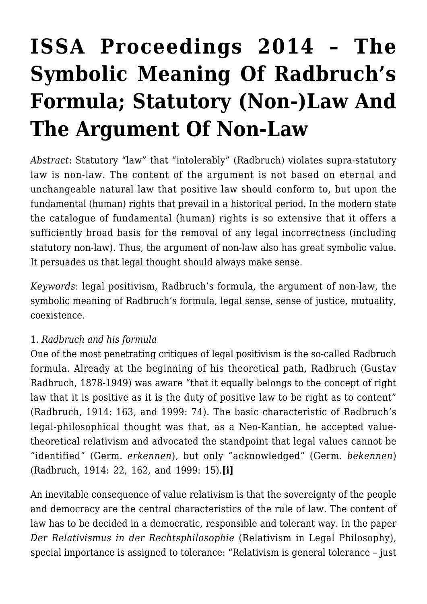# **[ISSA Proceedings 2014 – The](https://rozenbergquarterly.com/issa-proceedings-2014-the-symbolic-meaning-of-radbruchs-formula-statutory-non-law-and-the-argument-of-non-law/) [Symbolic Meaning Of Radbruch's](https://rozenbergquarterly.com/issa-proceedings-2014-the-symbolic-meaning-of-radbruchs-formula-statutory-non-law-and-the-argument-of-non-law/) [Formula; Statutory \(Non-\)Law And](https://rozenbergquarterly.com/issa-proceedings-2014-the-symbolic-meaning-of-radbruchs-formula-statutory-non-law-and-the-argument-of-non-law/) [The Argument Of Non-Law](https://rozenbergquarterly.com/issa-proceedings-2014-the-symbolic-meaning-of-radbruchs-formula-statutory-non-law-and-the-argument-of-non-law/)**

*Abstract*: Statutory "law" that "intolerably" (Radbruch) violates supra-statutory law is non-law. The content of the argument is not based on eternal and unchangeable natural law that positive law should conform to, but upon the fundamental (human) rights that prevail in a historical period. In the modern state the catalogue of fundamental (human) rights is so extensive that it offers a sufficiently broad basis for the removal of any legal incorrectness (including statutory non-law). Thus, the argument of non-law also has great symbolic value. It persuades us that legal thought should always make sense.

*Keywords*: legal positivism, Radbruch's formula, the argument of non-law, the symbolic meaning of Radbruch's formula, legal sense, sense of justice, mutuality, coexistence.

### 1. *Radbruch and his formula*

One of the most penetrating critiques of legal positivism is the so-called Radbruch formula. Already at the beginning of his theoretical path, Radbruch (Gustav Radbruch, 1878-1949) was aware "that it equally belongs to the concept of right law that it is positive as it is the duty of positive law to be right as to content" (Radbruch, 1914: 163, and 1999: 74). The basic characteristic of Radbruch's legal-philosophical thought was that, as a Neo-Kantian, he accepted valuetheoretical relativism and advocated the standpoint that legal values cannot be "identified" (Germ. *erkennen*), but only "acknowledged" (Germ. *bekennen*) (Radbruch, 1914: 22, 162, and 1999: 15).**[i]**

An inevitable consequence of value relativism is that the sovereignty of the people and democracy are the central characteristics of the rule of law. The content of law has to be decided in a democratic, responsible and tolerant way. In the paper *Der Relativismus in der Rechtsphilosophie* (Relativism in Legal Philosophy), special importance is assigned to tolerance: "Relativism is general tolerance – just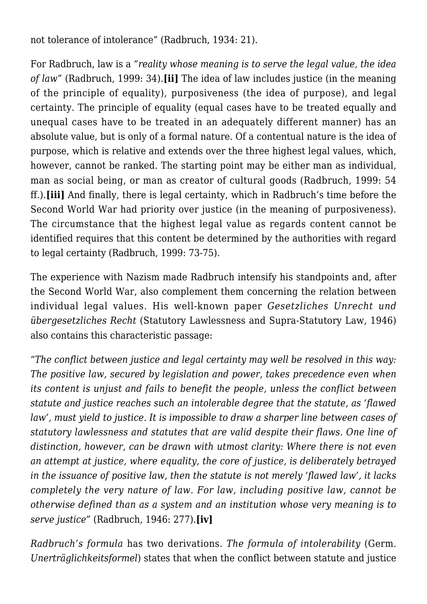not tolerance of intolerance" (Radbruch, 1934: 21).

For Radbruch, law is a "*reality whose meaning is to serve the legal value, the idea of law*" (Radbruch, 1999: 34).**[ii]** The idea of law includes justice (in the meaning of the principle of equality), purposiveness (the idea of purpose), and legal certainty. The principle of equality (equal cases have to be treated equally and unequal cases have to be treated in an adequately different manner) has an absolute value, but is only of a formal nature. Of a contentual nature is the idea of purpose, which is relative and extends over the three highest legal values, which, however, cannot be ranked. The starting point may be either man as individual, man as social being, or man as creator of cultural goods (Radbruch, 1999: 54 ff.).**[iii]** And finally, there is legal certainty, which in Radbruch's time before the Second World War had priority over justice (in the meaning of purposiveness). The circumstance that the highest legal value as regards content cannot be identified requires that this content be determined by the authorities with regard to legal certainty (Radbruch, 1999: 73-75).

The experience with Nazism made Radbruch intensify his standpoints and, after the Second World War, also complement them concerning the relation between individual legal values. His well-known paper *Gesetzliches Unrecht und übergesetzliches Recht* (Statutory Lawlessness and Supra-Statutory Law, 1946) also contains this characteristic passage:

"*The conflict between justice and legal certainty may well be resolved in this way: The positive law, secured by legislation and power, takes precedence even when its content is unjust and fails to benefit the people, unless the conflict between statute and justice reaches such an intolerable degree that the statute, as 'flawed law', must yield to justice. It is impossible to draw a sharper line between cases of statutory lawlessness and statutes that are valid despite their flaws. One line of distinction, however, can be drawn with utmost clarity: Where there is not even an attempt at justice, where equality, the core of justice, is deliberately betrayed in the issuance of positive law, then the statute is not merely 'flawed law', it lacks completely the very nature of law. For law, including positive law, cannot be otherwise defined than as a system and an institution whose very meaning is to serve justice"* (Radbruch, 1946: 277).**[iv]**

*Radbruch's formula* has two derivations. *The formula of intolerability* (Germ. *Unerträglichkeitsformel*) states that when the conflict between statute and justice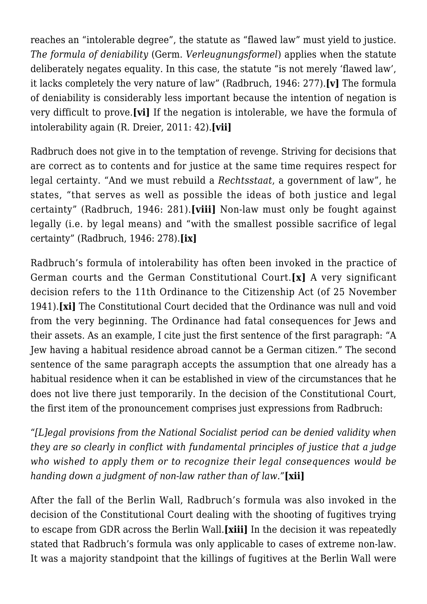reaches an "intolerable degree", the statute as "flawed law" must yield to justice. *The formula of deniability* (Germ. *Verleugnungsformel*) applies when the statute deliberately negates equality. In this case, the statute "is not merely 'flawed law', it lacks completely the very nature of law" (Radbruch, 1946: 277).**[v]** The formula of deniability is considerably less important because the intention of negation is very difficult to prove.**[vi]** If the negation is intolerable, we have the formula of intolerability again (R. Dreier, 2011: 42).**[vii]**

Radbruch does not give in to the temptation of revenge. Striving for decisions that are correct as to contents and for justice at the same time requires respect for legal certainty. "And we must rebuild a *Rechtsstaat*, a government of law", he states, "that serves as well as possible the ideas of both justice and legal certainty" (Radbruch, 1946: 281).**[viii]** Non-law must only be fought against legally (i.e. by legal means) and "with the smallest possible sacrifice of legal certainty" (Radbruch, 1946: 278).**[ix]**

Radbruch's formula of intolerability has often been invoked in the practice of German courts and the German Constitutional Court.**[x]** A very significant decision refers to the 11th Ordinance to the Citizenship Act (of 25 November 1941).**[xi]** The Constitutional Court decided that the Ordinance was null and void from the very beginning. The Ordinance had fatal consequences for Jews and their assets. As an example, I cite just the first sentence of the first paragraph: "A Jew having a habitual residence abroad cannot be a German citizen." The second sentence of the same paragraph accepts the assumption that one already has a habitual residence when it can be established in view of the circumstances that he does not live there just temporarily. In the decision of the Constitutional Court, the first item of the pronouncement comprises just expressions from Radbruch:

"*[L]egal provisions from the National Socialist period can be denied validity when they are so clearly in conflict with fundamental principles of justice that a judge who wished to apply them or to recognize their legal consequences would be handing down a judgment of non-law rather than of law."***[xii]**

After the fall of the Berlin Wall, Radbruch's formula was also invoked in the decision of the Constitutional Court dealing with the shooting of fugitives trying to escape from GDR across the Berlin Wall.**[xiii]** In the decision it was repeatedly stated that Radbruch's formula was only applicable to cases of extreme non-law. It was a majority standpoint that the killings of fugitives at the Berlin Wall were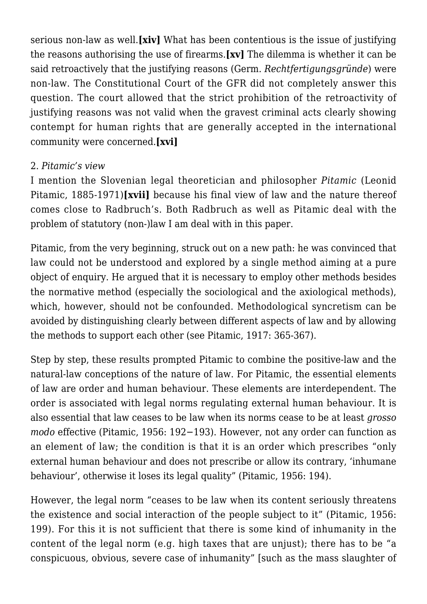serious non-law as well.**[xiv]** What has been contentious is the issue of justifying the reasons authorising the use of firearms.**[xv]** The dilemma is whether it can be said retroactively that the justifying reasons (Germ. *Rechtfertigungsgründe*) were non-law. The Constitutional Court of the GFR did not completely answer this question. The court allowed that the strict prohibition of the retroactivity of justifying reasons was not valid when the gravest criminal acts clearly showing contempt for human rights that are generally accepted in the international community were concerned.**[xvi]**

#### 2. *Pitamic's view*

I mention the Slovenian legal theoretician and philosopher *Pitamic* (Leonid Pitamic, 1885-1971)**[xvii]** because his final view of law and the nature thereof comes close to Radbruch's. Both Radbruch as well as Pitamic deal with the problem of statutory (non-)law I am deal with in this paper.

Pitamic, from the very beginning, struck out on a new path: he was convinced that law could not be understood and explored by a single method aiming at a pure object of enquiry. He argued that it is necessary to employ other methods besides the normative method (especially the sociological and the axiological methods), which, however, should not be confounded. Methodological syncretism can be avoided by distinguishing clearly between different aspects of law and by allowing the methods to support each other (see Pitamic, 1917: 365-367).

Step by step, these results prompted Pitamic to combine the positive-law and the natural-law conceptions of the nature of law. For Pitamic, the essential elements of law are order and human behaviour. These elements are interdependent. The order is associated with legal norms regulating external human behaviour. It is also essential that law ceases to be law when its norms cease to be at least *grosso modo* effective (Pitamic, 1956: 192−193). However, not any order can function as an element of law; the condition is that it is an order which prescribes "only external human behaviour and does not prescribe or allow its contrary, 'inhumane behaviour', otherwise it loses its legal quality" (Pitamic, 1956: 194).

However, the legal norm "ceases to be law when its content seriously threatens the existence and social interaction of the people subject to it" (Pitamic, 1956: 199). For this it is not sufficient that there is some kind of inhumanity in the content of the legal norm (e.g. high taxes that are unjust); there has to be "a conspicuous, obvious, severe case of inhumanity" [such as the mass slaughter of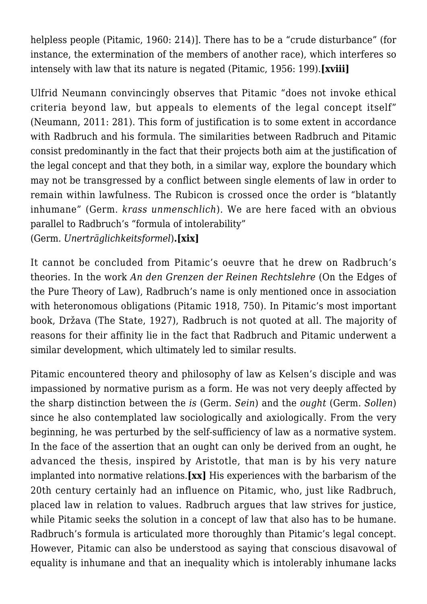helpless people (Pitamic, 1960: 214)]. There has to be a "crude disturbance" (for instance, the extermination of the members of another race), which interferes so intensely with law that its nature is negated (Pitamic, 1956: 199).**[xviii]**

Ulfrid Neumann convincingly observes that Pitamic "does not invoke ethical criteria beyond law, but appeals to elements of the legal concept itself" (Neumann, 2011: 281). This form of justification is to some extent in accordance with Radbruch and his formula. The similarities between Radbruch and Pitamic consist predominantly in the fact that their projects both aim at the justification of the legal concept and that they both, in a similar way, explore the boundary which may not be transgressed by a conflict between single elements of law in order to remain within lawfulness. The Rubicon is crossed once the order is "blatantly inhumane" (Germ. *krass unmenschlich*). We are here faced with an obvious parallel to Radbruch's "formula of intolerability"

(Germ. *Unerträglichkeitsformel*)**.[xix]**

It cannot be concluded from Pitamic's oeuvre that he drew on Radbruch's theories. In the work *An den Grenzen der Reinen Rechtslehre* (On the Edges of the Pure Theory of Law), Radbruch's name is only mentioned once in association with heteronomous obligations (Pitamic 1918, 750). In Pitamic's most important book, Država (The State, 1927), Radbruch is not quoted at all. The majority of reasons for their affinity lie in the fact that Radbruch and Pitamic underwent a similar development, which ultimately led to similar results.

Pitamic encountered theory and philosophy of law as Kelsen's disciple and was impassioned by normative purism as a form. He was not very deeply affected by the sharp distinction between the *is* (Germ. *Sein*) and the *ought* (Germ. *Sollen*) since he also contemplated law sociologically and axiologically. From the very beginning, he was perturbed by the self-sufficiency of law as a normative system. In the face of the assertion that an ought can only be derived from an ought, he advanced the thesis, inspired by Aristotle, that man is by his very nature implanted into normative relations.**[xx]** His experiences with the barbarism of the 20th century certainly had an influence on Pitamic, who, just like Radbruch, placed law in relation to values. Radbruch argues that law strives for justice, while Pitamic seeks the solution in a concept of law that also has to be humane. Radbruch's formula is articulated more thoroughly than Pitamic's legal concept. However, Pitamic can also be understood as saying that conscious disavowal of equality is inhumane and that an inequality which is intolerably inhumane lacks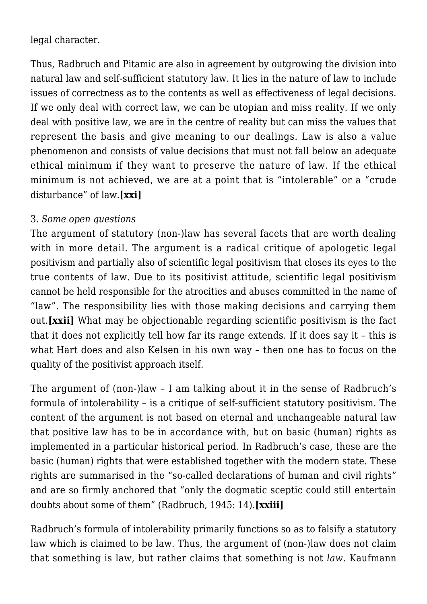legal character.

Thus, Radbruch and Pitamic are also in agreement by outgrowing the division into natural law and self-sufficient statutory law. It lies in the nature of law to include issues of correctness as to the contents as well as effectiveness of legal decisions. If we only deal with correct law, we can be utopian and miss reality. If we only deal with positive law, we are in the centre of reality but can miss the values that represent the basis and give meaning to our dealings. Law is also a value phenomenon and consists of value decisions that must not fall below an adequate ethical minimum if they want to preserve the nature of law. If the ethical minimum is not achieved, we are at a point that is "intolerable" or a "crude disturbance" of law.**[xxi]**

### 3. *Some open questions*

The argument of statutory (non-)law has several facets that are worth dealing with in more detail. The argument is a radical critique of apologetic legal positivism and partially also of scientific legal positivism that closes its eyes to the true contents of law. Due to its positivist attitude, scientific legal positivism cannot be held responsible for the atrocities and abuses committed in the name of "law". The responsibility lies with those making decisions and carrying them out.**[xxii]** What may be objectionable regarding scientific positivism is the fact that it does not explicitly tell how far its range extends. If it does say it – this is what Hart does and also Kelsen in his own way – then one has to focus on the quality of the positivist approach itself.

The argument of (non-)law – I am talking about it in the sense of Radbruch's formula of intolerability – is a critique of self-sufficient statutory positivism. The content of the argument is not based on eternal and unchangeable natural law that positive law has to be in accordance with, but on basic (human) rights as implemented in a particular historical period. In Radbruch's case, these are the basic (human) rights that were established together with the modern state. These rights are summarised in the "so-called declarations of human and civil rights" and are so firmly anchored that "only the dogmatic sceptic could still entertain doubts about some of them" (Radbruch, 1945: 14).**[xxiii]**

Radbruch's formula of intolerability primarily functions so as to falsify a statutory law which is claimed to be law. Thus, the argument of (non-)law does not claim that something is law, but rather claims that something is not *law*. Kaufmann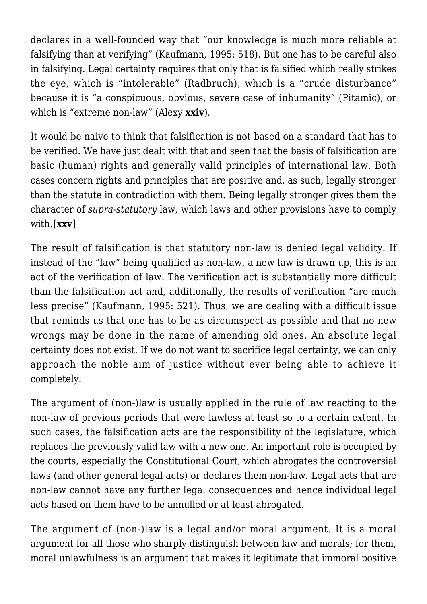declares in a well-founded way that "our knowledge is much more reliable at falsifying than at verifying" (Kaufmann, 1995: 518). But one has to be careful also in falsifying. Legal certainty requires that only that is falsified which really strikes the eye, which is "intolerable" (Radbruch), which is a "crude disturbance" because it is "a conspicuous, obvious, severe case of inhumanity" (Pitamic), or which is "extreme non-law" (Alexy **xxiv**).

It would be naive to think that falsification is not based on a standard that has to be verified. We have just dealt with that and seen that the basis of falsification are basic (human) rights and generally valid principles of international law. Both cases concern rights and principles that are positive and, as such, legally stronger than the statute in contradiction with them. Being legally stronger gives them the character of *supra-statutory* law, which laws and other provisions have to comply with.**[xxv]**

The result of falsification is that statutory non-law is denied legal validity. If instead of the "law" being qualified as non-law, a new law is drawn up, this is an act of the verification of law. The verification act is substantially more difficult than the falsification act and, additionally, the results of verification "are much less precise" (Kaufmann, 1995: 521). Thus, we are dealing with a difficult issue that reminds us that one has to be as circumspect as possible and that no new wrongs may be done in the name of amending old ones. An absolute legal certainty does not exist. If we do not want to sacrifice legal certainty, we can only approach the noble aim of justice without ever being able to achieve it completely.

The argument of (non-)law is usually applied in the rule of law reacting to the non-law of previous periods that were lawless at least so to a certain extent. In such cases, the falsification acts are the responsibility of the legislature, which replaces the previously valid law with a new one. An important role is occupied by the courts, especially the Constitutional Court, which abrogates the controversial laws (and other general legal acts) or declares them non-law. Legal acts that are non-law cannot have any further legal consequences and hence individual legal acts based on them have to be annulled or at least abrogated.

The argument of (non-)law is a legal and/or moral argument. It is a moral argument for all those who sharply distinguish between law and morals; for them, moral unlawfulness is an argument that makes it legitimate that immoral positive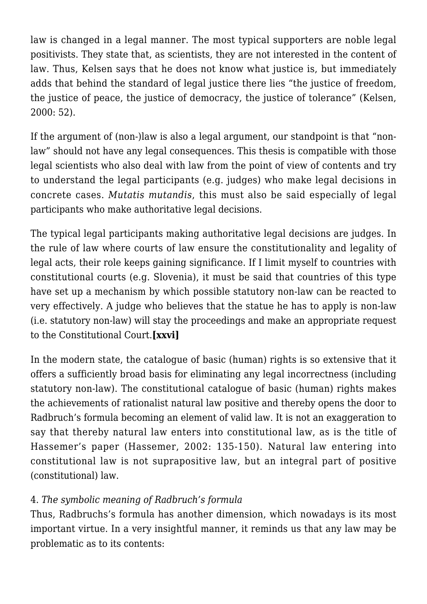law is changed in a legal manner. The most typical supporters are noble legal positivists. They state that, as scientists, they are not interested in the content of law. Thus, Kelsen says that he does not know what justice is, but immediately adds that behind the standard of legal justice there lies "the justice of freedom, the justice of peace, the justice of democracy, the justice of tolerance" (Kelsen, 2000: 52).

If the argument of (non-)law is also a legal argument, our standpoint is that "nonlaw" should not have any legal consequences. This thesis is compatible with those legal scientists who also deal with law from the point of view of contents and try to understand the legal participants (e.g. judges) who make legal decisions in concrete cases. *Mutatis mutandis*, this must also be said especially of legal participants who make authoritative legal decisions.

The typical legal participants making authoritative legal decisions are judges. In the rule of law where courts of law ensure the constitutionality and legality of legal acts, their role keeps gaining significance. If I limit myself to countries with constitutional courts (e.g. Slovenia), it must be said that countries of this type have set up a mechanism by which possible statutory non-law can be reacted to very effectively. A judge who believes that the statue he has to apply is non-law (i.e. statutory non-law) will stay the proceedings and make an appropriate request to the Constitutional Court.**[xxvi]**

In the modern state, the catalogue of basic (human) rights is so extensive that it offers a sufficiently broad basis for eliminating any legal incorrectness (including statutory non-law). The constitutional catalogue of basic (human) rights makes the achievements of rationalist natural law positive and thereby opens the door to Radbruch's formula becoming an element of valid law. It is not an exaggeration to say that thereby natural law enters into constitutional law, as is the title of Hassemer's paper (Hassemer, 2002: 135-150). Natural law entering into constitutional law is not suprapositive law, but an integral part of positive (constitutional) law.

## 4. *The symbolic meaning of Radbruch's formula*

Thus, Radbruchs's formula has another dimension, which nowadays is its most important virtue. In a very insightful manner, it reminds us that any law may be problematic as to its contents: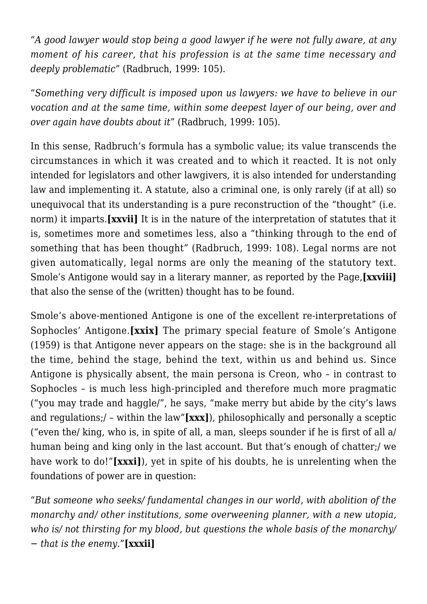"*A good lawyer would stop being a good lawyer if he were not fully aware, at any moment of his career, that his profession is at the same time necessary and deeply problematic*" (Radbruch, 1999: 105).

"*Something very difficult is imposed upon us lawyers: we have to believe in our vocation and at the same time, within some deepest layer of our being, over and over again have doubts about it*" (Radbruch, 1999: 105).

In this sense, Radbruch's formula has a symbolic value; its value transcends the circumstances in which it was created and to which it reacted. It is not only intended for legislators and other lawgivers, it is also intended for understanding law and implementing it. A statute, also a criminal one, is only rarely (if at all) so unequivocal that its understanding is a pure reconstruction of the "thought" (i.e. norm) it imparts.**[xxvii]** It is in the nature of the interpretation of statutes that it is, sometimes more and sometimes less, also a "thinking through to the end of something that has been thought" (Radbruch, 1999: 108). Legal norms are not given automatically, legal norms are only the meaning of the statutory text. Smole's Antigone would say in a literary manner, as reported by the Page,**[xxviii]** that also the sense of the (written) thought has to be found.

Smole's above-mentioned Antigone is one of the excellent re-interpretations of Sophocles' Antigone.**[xxix]** The primary special feature of Smole's Antigone (1959) is that Antigone never appears on the stage: she is in the background all the time, behind the stage, behind the text, within us and behind us. Since Antigone is physically absent, the main persona is Creon, who – in contrast to Sophocles – is much less high-principled and therefore much more pragmatic ("you may trade and haggle/", he says, "make merry but abide by the city's laws and regulations;/ – within the law"**[xxx]**), philosophically and personally a sceptic ("even the/ king, who is, in spite of all, a man, sleeps sounder if he is first of all a/ human being and king only in the last account. But that's enough of chatter;/ we have work to do!"**[xxxi]**), yet in spite of his doubts, he is unrelenting when the foundations of power are in question:

"*But someone who seeks/ fundamental changes in our world, with abolition of the monarchy and/ other institutions, some overweening planner, with a new utopia, who is/ not thirsting for my blood, but questions the whole basis of the monarchy/ − that is the enemy.*"**[xxxii]**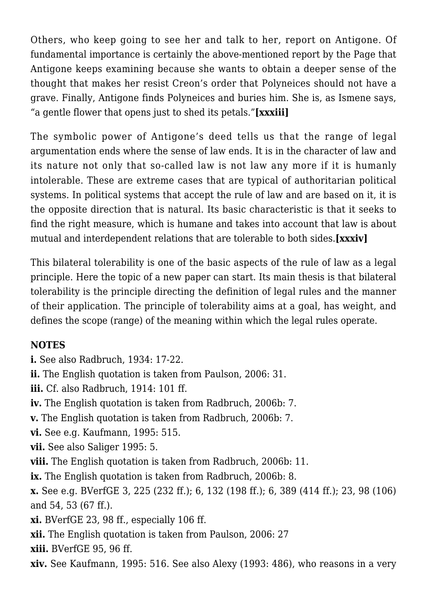Others, who keep going to see her and talk to her, report on Antigone. Of fundamental importance is certainly the above-mentioned report by the Page that Antigone keeps examining because she wants to obtain a deeper sense of the thought that makes her resist Creon's order that Polyneices should not have a grave. Finally, Antigone finds Polyneices and buries him. She is, as Ismene says, "a gentle flower that opens just to shed its petals."**[xxxiii]**

The symbolic power of Antigone's deed tells us that the range of legal argumentation ends where the sense of law ends. It is in the character of law and its nature not only that so-called law is not law any more if it is humanly intolerable. These are extreme cases that are typical of authoritarian political systems. In political systems that accept the rule of law and are based on it, it is the opposite direction that is natural. Its basic characteristic is that it seeks to find the right measure, which is humane and takes into account that law is about mutual and interdependent relations that are tolerable to both sides.**[xxxiv]**

This bilateral tolerability is one of the basic aspects of the rule of law as a legal principle. Here the topic of a new paper can start. Its main thesis is that bilateral tolerability is the principle directing the definition of legal rules and the manner of their application. The principle of tolerability aims at a goal, has weight, and defines the scope (range) of the meaning within which the legal rules operate.

### **NOTES**

- **i.** See also Radbruch, 1934: 17-22.
- **ii.** The English quotation is taken from Paulson, 2006: 31.
- **iii.** Cf. also Radbruch, 1914: 101 ff.
- **iv.** The English quotation is taken from Radbruch, 2006b: 7.
- **v.** The English quotation is taken from Radbruch, 2006b: 7.
- **vi.** See e.g. Kaufmann, 1995: 515.
- **vii.** See also Saliger 1995: 5.
- **viii.** The English quotation is taken from Radbruch, 2006b: 11.
- **ix.** The English quotation is taken from Radbruch, 2006b: 8.
- **x.** See e.g. BVerfGE 3, 225 (232 ff.); 6, 132 (198 ff.); 6, 389 (414 ff.); 23, 98 (106) and 54, 53 (67 ff.).
- **xi.** BVerfGE 23, 98 ff., especially 106 ff.
- **xii.** The English quotation is taken from Paulson, 2006: 27
- **xiii.** BVerfGE 95, 96 ff.
- **xiv.** See Kaufmann, 1995: 516. See also Alexy (1993: 486), who reasons in a very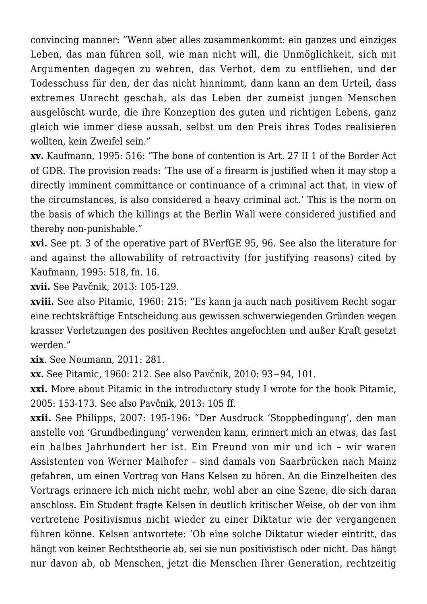convincing manner: "Wenn aber alles zusammenkommt: ein ganzes und einziges Leben, das man führen soll, wie man nicht will, die Unmöglichkeit, sich mit Argumenten dagegen zu wehren, das Verbot, dem zu entfliehen, und der Todesschuss für den, der das nicht hinnimmt, dann kann an dem Urteil, dass extremes Unrecht geschah, als das Leben der zumeist jungen Menschen ausgelöscht wurde, die ihre Konzeption des guten und richtigen Lebens, ganz gleich wie immer diese aussah, selbst um den Preis ihres Todes realisieren wollten, kein Zweifel sein."

**xv.** Kaufmann, 1995: 516: "The bone of contention is Art. 27 II 1 of the Border Act of GDR. The provision reads: 'The use of a firearm is justified when it may stop a directly imminent committance or continuance of a criminal act that, in view of the circumstances, is also considered a heavy criminal act.' This is the norm on the basis of which the killings at the Berlin Wall were considered justified and thereby non-punishable."

**xvi.** See pt. 3 of the operative part of BVerfGE 95, 96. See also the literature for and against the allowability of retroactivity (for justifying reasons) cited by Kaufmann, 1995: 518, fn. 16.

**xvii.** See Pavčnik, 2013: 105-129.

**xviii.** See also Pitamic, 1960: 215: "Es kann ja auch nach positivem Recht sogar eine rechtskräftige Entscheidung aus gewissen schwerwiegenden Gründen wegen krasser Verletzungen des positiven Rechtes angefochten und außer Kraft gesetzt werden."

**xix**. See Neumann, 2011: 281.

**xx.** See Pitamic, 1960: 212. See also Pavčnik, 2010: 93−94, 101.

**xxi.** More about Pitamic in the introductory study I wrote for the book Pitamic, 2005: 153-173. See also Pavčnik, 2013: 105 ff.

**xxii.** See Philipps, 2007: 195-196: "Der Ausdruck 'Stoppbedingung', den man anstelle von 'Grundbedingung' verwenden kann, erinnert mich an etwas, das fast ein halbes Jahrhundert her ist. Ein Freund von mir und ich – wir waren Assistenten von Werner Maihofer – sind damals von Saarbrücken nach Mainz gefahren, um einen Vortrag von Hans Kelsen zu hören. An die Einzelheiten des Vortrags erinnere ich mich nicht mehr, wohl aber an eine Szene, die sich daran anschloss. Ein Student fragte Kelsen in deutlich kritischer Weise, ob der von ihm vertretene Positivismus nicht wieder zu einer Diktatur wie der vergangenen führen könne. Kelsen antwortete: 'Ob eine solche Diktatur wieder eintritt, das hängt von keiner Rechtstheorie ab, sei sie nun positivistisch oder nicht. Das hängt nur davon ab, ob Menschen, jetzt die Menschen Ihrer Generation, rechtzeitig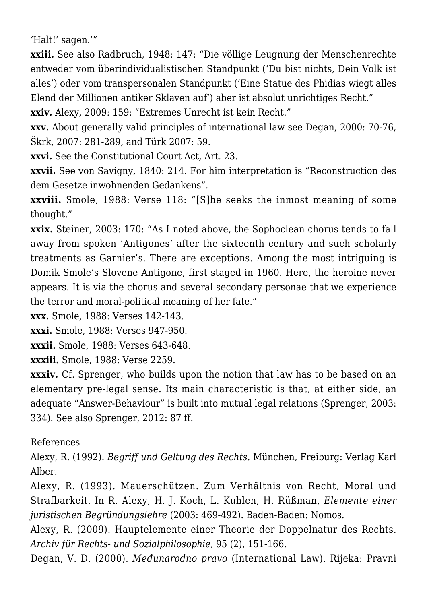'Halt!' sagen.'"

**xxiii.** See also Radbruch, 1948: 147: "Die völlige Leugnung der Menschenrechte entweder vom überindividualistischen Standpunkt ('Du bist nichts, Dein Volk ist alles') oder vom transpersonalen Standpunkt ('Eine Statue des Phidias wiegt alles Elend der Millionen antiker Sklaven auf') aber ist absolut unrichtiges Recht."

**xxiv.** Alexy, 2009: 159: "Extremes Unrecht ist kein Recht."

**xxv.** About generally valid principles of international law see Degan, 2000: 70-76, Škrk, 2007: 281-289, and Türk 2007: 59.

**xxvi.** See the Constitutional Court Act, Art. 23.

**xxvii.** See von Savigny, 1840: 214. For him interpretation is "Reconstruction des dem Gesetze inwohnenden Gedankens".

**xxviii.** Smole, 1988: Verse 118: "[S]he seeks the inmost meaning of some thought."

**xxix.** Steiner, 2003: 170: "As I noted above, the Sophoclean chorus tends to fall away from spoken 'Antigones' after the sixteenth century and such scholarly treatments as Garnier's. There are exceptions. Among the most intriguing is Domik Smole's Slovene Antigone, first staged in 1960. Here, the heroine never appears. It is via the chorus and several secondary personae that we experience the terror and moral-political meaning of her fate."

**xxx.** Smole, 1988: Verses 142-143.

**xxxi.** Smole, 1988: Verses 947-950.

**xxxii.** Smole, 1988: Verses 643-648.

**xxxiii.** Smole, 1988: Verse 2259.

**xxxiv.** Cf. Sprenger, who builds upon the notion that law has to be based on an elementary pre-legal sense. Its main characteristic is that, at either side, an adequate "Answer-Behaviour" is built into mutual legal relations (Sprenger, 2003: 334). See also Sprenger, 2012: 87 ff.

#### References

Alexy, R. (1992). *Begriff und Geltung des Rechts.* München, Freiburg: Verlag Karl Alber.

Alexy, R. (1993). Mauerschützen. Zum Verhältnis von Recht, Moral und Strafbarkeit. In R. Alexy, H. J. Koch, L. Kuhlen, H. Rüßman, *Elemente einer juristischen Begründungslehre* (2003: 469-492). Baden-Baden: Nomos.

Alexy, R. (2009). Hauptelemente einer Theorie der Doppelnatur des Rechts. *Archiv für Rechts- und Sozialphilosophie*, 95 (2), 151-166.

Degan, V. Đ. (2000). *Međunarodno pravo* (International Law). Rijeka: Pravni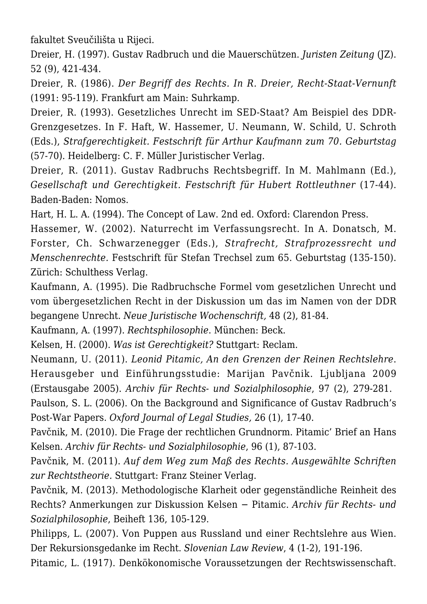fakultet Sveučilišta u Rijeci.

Dreier, H. (1997). Gustav Radbruch und die Mauerschützen. *Juristen Zeitung* (JZ). 52 (9), 421-434.

Dreier, R. (1986). *Der Begriff des Rechts. In R. Dreier, Recht-Staat-Vernunft* (1991: 95-119). Frankfurt am Main: Suhrkamp.

Dreier, R. (1993). Gesetzliches Unrecht im SED-Staat? Am Beispiel des DDR-Grenzgesetzes. In F. Haft, W. Hassemer, U. Neumann, W. Schild, U. Schroth (Eds.), *Strafgerechtigkeit. Festschrift für Arthur Kaufmann zum 70. Geburtstag* (57-70). Heidelberg: C. F. Müller Juristischer Verlag.

Dreier, R. (2011). Gustav Radbruchs Rechtsbegriff. In M. Mahlmann (Ed.), *Gesellschaft und Gerechtigkeit. Festschrift für Hubert Rottleuthner* (17-44). Baden-Baden: Nomos.

Hart, H. L. A. (1994). The Concept of Law. 2nd ed. Oxford: Clarendon Press.

Hassemer, W. (2002). Naturrecht im Verfassungsrecht. In A. Donatsch, M. Forster, Ch. Schwarzenegger (Eds.), *Strafrecht, Strafprozessrecht und Menschenrechte.* Festschrift für Stefan Trechsel zum 65. Geburtstag (135-150). Zürich: Schulthess Verlag.

Kaufmann, A. (1995). Die Radbruchsche Formel vom gesetzlichen Unrecht und vom übergesetzlichen Recht in der Diskussion um das im Namen von der DDR begangene Unrecht. *Neue Juristische Wochenschrift,* 48 (2), 81-84.

Kaufmann, A. (1997). *Rechtsphilosophie*. München: Beck.

Kelsen, H. (2000). *Was ist Gerechtigkeit?* Stuttgart: Reclam.

Neumann, U. (2011). *Leonid Pitamic, An den Grenzen der Reinen Rechtslehre*. Herausgeber und Einführungsstudie: Marijan Pavčnik. Ljubljana 2009 (Erstausgabe 2005). *Archiv für Rechts- und Sozialphilosophie*, 97 (2), 279-281.

Paulson, S. L. (2006). On the Background and Significance of Gustav Radbruch's Post-War Papers. *Oxford Journal of Legal Studies,* 26 (1), 17-40.

Pavčnik, M. (2010). Die Frage der rechtlichen Grundnorm. Pitamic' Brief an Hans Kelsen. *Archiv für Rechts- und Sozialphilosophie*, 96 (1), 87-103.

Pavčnik, M. (2011). *Auf dem Weg zum Maß des Rechts. Ausgewählte Schriften zur Rechtstheorie.* Stuttgart: Franz Steiner Verlag.

Pavčnik, M. (2013). Methodologische Klarheit oder gegenständliche Reinheit des Rechts? Anmerkungen zur Diskussion Kelsen − Pitamic. *Archiv für Rechts- und Sozialphilosophie*, Beiheft 136, 105-129.

Philipps, L. (2007). Von Puppen aus Russland und einer Rechtslehre aus Wien. Der Rekursionsgedanke im Recht. *Slovenian Law Review*, 4 (1-2), 191-196.

Pitamic, L. (1917). Denkökonomische Voraussetzungen der Rechtswissenschaft.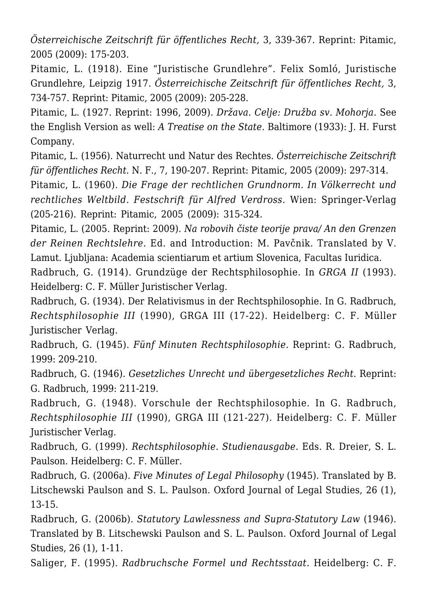*Österreichische Zeitschrift für öffentliches Recht,* 3, 339-367. Reprint: Pitamic, 2005 (2009): 175-203.

Pitamic, L. (1918). Eine "Juristische Grundlehre". Felix Somló, Juristische Grundlehre, Leipzig 1917. *Österreichische Zeitschrift für öffentliches Recht,* 3, 734-757. Reprint: Pitamic, 2005 (2009): 205-228.

Pitamic, L. (1927. Reprint: 1996, 2009). *Država. Celje: Družba sv. Mohorja.* See the English Version as well: *A Treatise on the State*. Baltimore (1933): J. H. Furst Company.

Pitamic, L. (1956). Naturrecht und Natur des Rechtes. *Österreichische Zeitschrift für öffentliches Recht.* N. F., 7, 190-207. Reprint: Pitamic, 2005 (2009): 297-314.

Pitamic, L. (1960). *Die Frage der rechtlichen Grundnorm. In Völkerrecht und rechtliches Weltbild. Festschrift für Alfred Verdross.* Wien: Springer-Verlag (205-216). Reprint: Pitamic, 2005 (2009): 315-324.

Pitamic, L. (2005. Reprint: 2009). *Na robovih čiste teorije prava/ An den Grenzen der Reinen Rechtslehre.* Ed. and Introduction: M. Pavčnik. Translated by V. Lamut. Ljubljana: Academia scientiarum et artium Slovenica, Facultas Iuridica.

Radbruch, G. (1914). Grundzüge der Rechtsphilosophie. In *GRGA II* (1993). Heidelberg: C. F. Müller Juristischer Verlag.

Radbruch, G. (1934). Der Relativismus in der Rechtsphilosophie. In G. Radbruch, *Rechtsphilosophie III* (1990), GRGA III (17-22). Heidelberg: C. F. Müller Juristischer Verlag.

Radbruch, G. (1945). *Fünf Minuten Rechtsphilosophie.* Reprint: G. Radbruch, 1999: 209-210.

Radbruch, G. (1946). *Gesetzliches Unrecht und übergesetzliches Recht*. Reprint: G. Radbruch, 1999: 211-219.

Radbruch, G. (1948). Vorschule der Rechtsphilosophie. In G. Radbruch, *Rechtsphilosophie III* (1990), GRGA III (121-227). Heidelberg: C. F. Müller Juristischer Verlag.

Radbruch, G. (1999). *Rechtsphilosophie. Studienausgabe.* Eds. R. Dreier, S. L. Paulson. Heidelberg: C. F. Müller.

Radbruch, G. (2006a). *Five Minutes of Legal Philosophy* (1945). Translated by B. Litschewski Paulson and S. L. Paulson. Oxford Journal of Legal Studies, 26 (1), 13-15.

Radbruch, G. (2006b). *Statutory Lawlessness and Supra-Statutory Law* (1946). Translated by B. Litschewski Paulson and S. L. Paulson. Oxford Journal of Legal Studies, 26 (1), 1-11.

Saliger, F. (1995). *Radbruchsche Formel und Rechtsstaat.* Heidelberg: C. F.